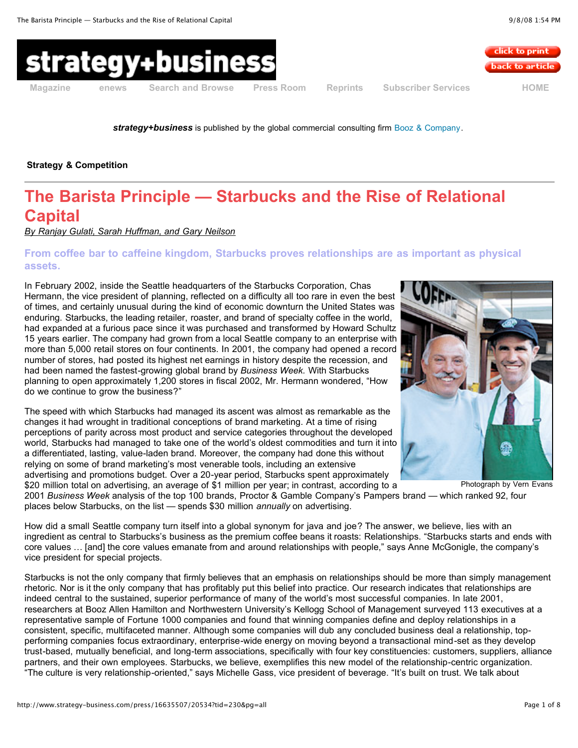



**[Magazine](http://www.strategy-business.com/magazine) [enews](http://www.strategy-business.com/library/enews) Search and [Browse](http://www.strategy-business.com/search) Press [Room](http://www.strategy-business.com/press) [Reprints](http://www.strategy-business.com/reprints) [Subscriber](http://www.strategy-business.com/subscriber) Services [HOME](http://www.strategy-business.com/)**

*strategy+business* is published by the global commercial consulting firm Booz & [Company](http://www.booz.com/).

**Strategy & Competition**

# **The Barista Principle — Starbucks and the Rise of Relational Capital**

*By Ranjay Gulati, Sarah [Huffman,](http://www.strategy-business.com/press/article/20534?pg=all#authors) and Gary Neilson*

# **From coffee bar to caffeine kingdom, Starbucks proves relationships are as important as physical assets.**

In February 2002, inside the Seattle headquarters of the Starbucks Corporation, Chas Hermann, the vice president of planning, reflected on a difficulty all too rare in even the best of times, and certainly unusual during the kind of economic downturn the United States was enduring. Starbucks, the leading retailer, roaster, and brand of specialty coffee in the world, had expanded at a furious pace since it was purchased and transformed by Howard Schultz 15 years earlier. The company had grown from a local Seattle company to an enterprise with more than 5,000 retail stores on four continents. In 2001, the company had opened a record number of stores, had posted its highest net earnings in history despite the recession, and had been named the fastest-growing global brand by *Business Week.* With Starbucks planning to open approximately 1,200 stores in fiscal 2002, Mr. Hermann wondered, "How do we continue to grow the business?"

The speed with which Starbucks had managed its ascent was almost as remarkable as the changes it had wrought in traditional conceptions of brand marketing. At a time of rising perceptions of parity across most product and service categories throughout the developed world, Starbucks had managed to take one of the world's oldest commodities and turn it into a differentiated, lasting, value-laden brand. Moreover, the company had done this without relying on some of brand marketing's most venerable tools, including an extensive advertising and promotions budget. Over a 20-year period, Starbucks spent approximately \$20 million total on advertising, an average of \$1 million per year; in contrast, according to a

2001 *Business Week* analysis of the top 100 brands, Proctor & Gamble Company's Pampers brand — which ranked 92, four places below Starbucks, on the list — spends \$30 million *annually* on advertising.

How did a small Seattle company turn itself into a global synonym for java and joe? The answer, we believe, lies with an ingredient as central to Starbucks's business as the premium coffee beans it roasts: Relationships. "Starbucks starts and ends with core values … [and] the core values emanate from and around relationships with people," says Anne McGonigle, the company's vice president for special projects.

Starbucks is not the only company that firmly believes that an emphasis on relationships should be more than simply management rhetoric. Nor is it the only company that has profitably put this belief into practice. Our research indicates that relationships are indeed central to the sustained, superior performance of many of the world's most successful companies. In late 2001, researchers at Booz Allen Hamilton and Northwestern University's Kellogg School of Management surveyed 113 executives at a representative sample of Fortune 1000 companies and found that winning companies define and deploy relationships in a consistent, specific, multifaceted manner. Although some companies will dub any concluded business deal a relationship, topperforming companies focus extraordinary, enterprise-wide energy on moving beyond a transactional mind-set as they develop trust-based, mutually beneficial, and long-term associations, specifically with four key constituencies: customers, suppliers, alliance partners, and their own employees. Starbucks, we believe, exemplifies this new model of the relationship-centric organization. "The culture is very relationship-oriented," says Michelle Gass, vice president of beverage. "It's built on trust. We talk about

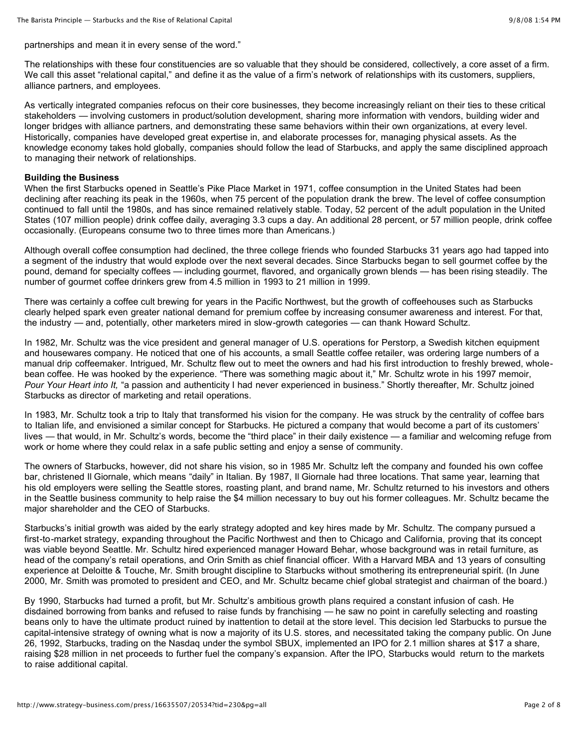partnerships and mean it in every sense of the word."

The relationships with these four constituencies are so valuable that they should be considered, collectively, a core asset of a firm. We call this asset "relational capital," and define it as the value of a firm's network of relationships with its customers, suppliers, alliance partners, and employees.

As vertically integrated companies refocus on their core businesses, they become increasingly reliant on their ties to these critical stakeholders — involving customers in product/solution development, sharing more information with vendors, building wider and longer bridges with alliance partners, and demonstrating these same behaviors within their own organizations, at every level. Historically, companies have developed great expertise in, and elaborate processes for, managing physical assets. As the knowledge economy takes hold globally, companies should follow the lead of Starbucks, and apply the same disciplined approach to managing their network of relationships.

# **Building the Business**

When the first Starbucks opened in Seattle's Pike Place Market in 1971, coffee consumption in the United States had been declining after reaching its peak in the 1960s, when 75 percent of the population drank the brew. The level of coffee consumption continued to fall until the 1980s, and has since remained relatively stable. Today, 52 percent of the adult population in the United States (107 million people) drink coffee daily, averaging 3.3 cups a day. An additional 28 percent, or 57 million people, drink coffee occasionally. (Europeans consume two to three times more than Americans.)

Although overall coffee consumption had declined, the three college friends who founded Starbucks 31 years ago had tapped into a segment of the industry that would explode over the next several decades. Since Starbucks began to sell gourmet coffee by the pound, demand for specialty coffees — including gourmet, flavored, and organically grown blends — has been rising steadily. The number of gourmet coffee drinkers grew from 4.5 million in 1993 to 21 million in 1999.

There was certainly a coffee cult brewing for years in the Pacific Northwest, but the growth of coffeehouses such as Starbucks clearly helped spark even greater national demand for premium coffee by increasing consumer awareness and interest. For that, the industry — and, potentially, other marketers mired in slow-growth categories — can thank Howard Schultz.

In 1982, Mr. Schultz was the vice president and general manager of U.S. operations for Perstorp, a Swedish kitchen equipment and housewares company. He noticed that one of his accounts, a small Seattle coffee retailer, was ordering large numbers of a manual drip coffeemaker. Intrigued, Mr. Schultz flew out to meet the owners and had his first introduction to freshly brewed, wholebean coffee. He was hooked by the experience. "There was something magic about it," Mr. Schultz wrote in his 1997 memoir, *Pour Your Heart into It,* "a passion and authenticity I had never experienced in business." Shortly thereafter, Mr. Schultz joined Starbucks as director of marketing and retail operations.

In 1983, Mr. Schultz took a trip to Italy that transformed his vision for the company. He was struck by the centrality of coffee bars to Italian life, and envisioned a similar concept for Starbucks. He pictured a company that would become a part of its customers' lives — that would, in Mr. Schultz's words, become the "third place" in their daily existence — a familiar and welcoming refuge from work or home where they could relax in a safe public setting and enjoy a sense of community.

The owners of Starbucks, however, did not share his vision, so in 1985 Mr. Schultz left the company and founded his own coffee bar, christened Il Giornale, which means "daily" in Italian. By 1987, Il Giornale had three locations. That same year, learning that his old employers were selling the Seattle stores, roasting plant, and brand name, Mr. Schultz returned to his investors and others in the Seattle business community to help raise the \$4 million necessary to buy out his former colleagues. Mr. Schultz became the major shareholder and the CEO of Starbucks.

Starbucks's initial growth was aided by the early strategy adopted and key hires made by Mr. Schultz. The company pursued a first-to-market strategy, expanding throughout the Pacific Northwest and then to Chicago and California, proving that its concept was viable beyond Seattle. Mr. Schultz hired experienced manager Howard Behar, whose background was in retail furniture, as head of the company's retail operations, and Orin Smith as chief financial officer. With a Harvard MBA and 13 years of consulting experience at Deloitte & Touche, Mr. Smith brought discipline to Starbucks without smothering its entrepreneurial spirit. (In June 2000, Mr. Smith was promoted to president and CEO, and Mr. Schultz became chief global strategist and chairman of the board.)

By 1990, Starbucks had turned a profit, but Mr. Schultz's ambitious growth plans required a constant infusion of cash. He disdained borrowing from banks and refused to raise funds by franchising — he saw no point in carefully selecting and roasting beans only to have the ultimate product ruined by inattention to detail at the store level. This decision led Starbucks to pursue the capital-intensive strategy of owning what is now a majority of its U.S. stores, and necessitated taking the company public. On June 26, 1992, Starbucks, trading on the Nasdaq under the symbol SBUX, implemented an IPO for 2.1 million shares at \$17 a share, raising \$28 million in net proceeds to further fuel the company's expansion. After the IPO, Starbucks would return to the markets to raise additional capital.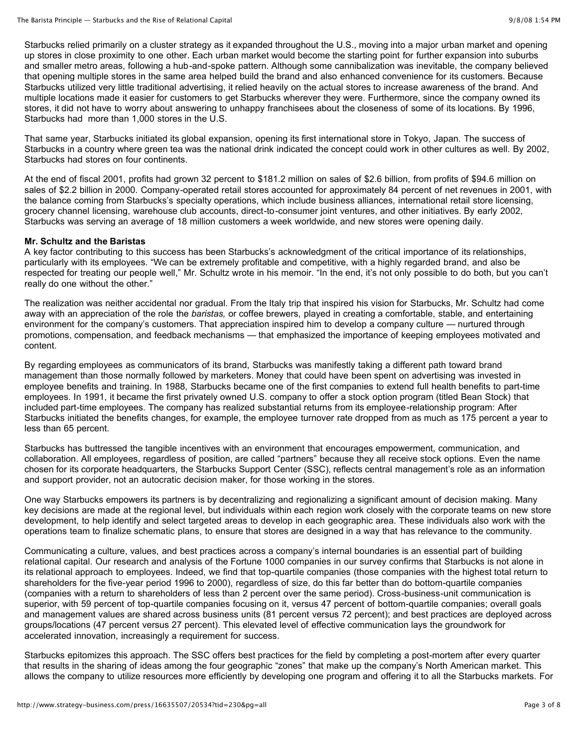Starbucks relied primarily on a cluster strategy as it expanded throughout the U.S., moving into a major urban market and opening up stores in close proximity to one other. Each urban market would become the starting point for further expansion into suburbs and smaller metro areas, following a hub-and-spoke pattern. Although some cannibalization was inevitable, the company believed that opening multiple stores in the same area helped build the brand and also enhanced convenience for its customers. Because Starbucks utilized very little traditional advertising, it relied heavily on the actual stores to increase awareness of the brand. And multiple locations made it easier for customers to get Starbucks wherever they were. Furthermore, since the company owned its stores, it did not have to worry about answering to unhappy franchisees about the closeness of some of its locations. By 1996, Starbucks had more than 1,000 stores in the U.S.

That same year, Starbucks initiated its global expansion, opening its first international store in Tokyo, Japan. The success of Starbucks in a country where green tea was the national drink indicated the concept could work in other cultures as well. By 2002, Starbucks had stores on four continents.

At the end of fiscal 2001, profits had grown 32 percent to \$181.2 million on sales of \$2.6 billion, from profits of \$94.6 million on sales of \$2.2 billion in 2000. Company-operated retail stores accounted for approximately 84 percent of net revenues in 2001, with the balance coming from Starbucks's specialty operations, which include business alliances, international retail store licensing, grocery channel licensing, warehouse club accounts, direct-to-consumer joint ventures, and other initiatives. By early 2002, Starbucks was serving an average of 18 million customers a week worldwide, and new stores were opening daily.

# **Mr. Schultz and the Baristas**

A key factor contributing to this success has been Starbucks's acknowledgment of the critical importance of its relationships, particularly with its employees. "We can be extremely profitable and competitive, with a highly regarded brand, and also be respected for treating our people well," Mr. Schultz wrote in his memoir. "In the end, it's not only possible to do both, but you can't really do one without the other."

The realization was neither accidental nor gradual. From the Italy trip that inspired his vision for Starbucks, Mr. Schultz had come away with an appreciation of the role the *baristas,* or coffee brewers, played in creating a comfortable, stable, and entertaining environment for the company's customers. That appreciation inspired him to develop a company culture — nurtured through promotions, compensation, and feedback mechanisms — that emphasized the importance of keeping employees motivated and content.

By regarding employees as communicators of its brand, Starbucks was manifestly taking a different path toward brand management than those normally followed by marketers. Money that could have been spent on advertising was invested in employee benefits and training. In 1988, Starbucks became one of the first companies to extend full health benefits to part-time employees. In 1991, it became the first privately owned U.S. company to offer a stock option program (titled Bean Stock) that included part-time employees. The company has realized substantial returns from its employee-relationship program: After Starbucks initiated the benefits changes, for example, the employee turnover rate dropped from as much as 175 percent a year to less than 65 percent.

Starbucks has buttressed the tangible incentives with an environment that encourages empowerment, communication, and collaboration. All employees, regardless of position, are called "partners" because they all receive stock options. Even the name chosen for its corporate headquarters, the Starbucks Support Center (SSC), reflects central management's role as an information and support provider, not an autocratic decision maker, for those working in the stores.

One way Starbucks empowers its partners is by decentralizing and regionalizing a significant amount of decision making. Many key decisions are made at the regional level, but individuals within each region work closely with the corporate teams on new store development, to help identify and select targeted areas to develop in each geographic area. These individuals also work with the operations team to finalize schematic plans, to ensure that stores are designed in a way that has relevance to the community.

Communicating a culture, values, and best practices across a company's internal boundaries is an essential part of building relational capital. Our research and analysis of the Fortune 1000 companies in our survey confirms that Starbucks is not alone in its relational approach to employees. Indeed, we find that top-quartile companies (those companies with the highest total return to shareholders for the five-year period 1996 to 2000), regardless of size, do this far better than do bottom-quartile companies (companies with a return to shareholders of less than 2 percent over the same period). Cross-business-unit communication is superior, with 59 percent of top-quartile companies focusing on it, versus 47 percent of bottom-quartile companies; overall goals and management values are shared across business units (81 percent versus 72 percent); and best practices are deployed across groups/locations (47 percent versus 27 percent). This elevated level of effective communication lays the groundwork for accelerated innovation, increasingly a requirement for success.

Starbucks epitomizes this approach. The SSC offers best practices for the field by completing a post-mortem after every quarter that results in the sharing of ideas among the four geographic "zones" that make up the company's North American market. This allows the company to utilize resources more efficiently by developing one program and offering it to all the Starbucks markets. For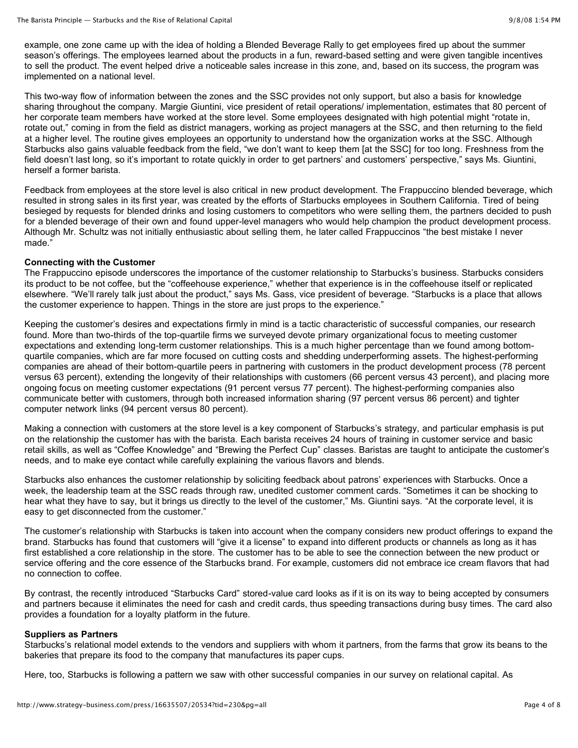example, one zone came up with the idea of holding a Blended Beverage Rally to get employees fired up about the summer season's offerings. The employees learned about the products in a fun, reward-based setting and were given tangible incentives to sell the product. The event helped drive a noticeable sales increase in this zone, and, based on its success, the program was implemented on a national level.

This two-way flow of information between the zones and the SSC provides not only support, but also a basis for knowledge sharing throughout the company. Margie Giuntini, vice president of retail operations/ implementation, estimates that 80 percent of her corporate team members have worked at the store level. Some employees designated with high potential might "rotate in, rotate out," coming in from the field as district managers, working as project managers at the SSC, and then returning to the field at a higher level. The routine gives employees an opportunity to understand how the organization works at the SSC. Although Starbucks also gains valuable feedback from the field, "we don't want to keep them [at the SSC] for too long. Freshness from the field doesn't last long, so it's important to rotate quickly in order to get partners' and customers' perspective," says Ms. Giuntini, herself a former barista.

Feedback from employees at the store level is also critical in new product development. The Frappuccino blended beverage, which resulted in strong sales in its first year, was created by the efforts of Starbucks employees in Southern California. Tired of being besieged by requests for blended drinks and losing customers to competitors who were selling them, the partners decided to push for a blended beverage of their own and found upper-level managers who would help champion the product development process. Although Mr. Schultz was not initially enthusiastic about selling them, he later called Frappuccinos "the best mistake I never made."

# **Connecting with the Customer**

The Frappuccino episode underscores the importance of the customer relationship to Starbucks's business. Starbucks considers its product to be not coffee, but the "coffeehouse experience," whether that experience is in the coffeehouse itself or replicated elsewhere. "We'll rarely talk just about the product," says Ms. Gass, vice president of beverage. "Starbucks is a place that allows the customer experience to happen. Things in the store are just props to the experience."

Keeping the customer's desires and expectations firmly in mind is a tactic characteristic of successful companies, our research found. More than two-thirds of the top-quartile firms we surveyed devote primary organizational focus to meeting customer expectations and extending long-term customer relationships. This is a much higher percentage than we found among bottomquartile companies, which are far more focused on cutting costs and shedding underperforming assets. The highest-performing companies are ahead of their bottom-quartile peers in partnering with customers in the product development process (78 percent versus 63 percent), extending the longevity of their relationships with customers (66 percent versus 43 percent), and placing more ongoing focus on meeting customer expectations (91 percent versus 77 percent). The highest-performing companies also communicate better with customers, through both increased information sharing (97 percent versus 86 percent) and tighter computer network links (94 percent versus 80 percent).

Making a connection with customers at the store level is a key component of Starbucks's strategy, and particular emphasis is put on the relationship the customer has with the barista. Each barista receives 24 hours of training in customer service and basic retail skills, as well as "Coffee Knowledge" and "Brewing the Perfect Cup" classes. Baristas are taught to anticipate the customer's needs, and to make eye contact while carefully explaining the various flavors and blends.

Starbucks also enhances the customer relationship by soliciting feedback about patrons' experiences with Starbucks. Once a week, the leadership team at the SSC reads through raw, unedited customer comment cards. "Sometimes it can be shocking to hear what they have to say, but it brings us directly to the level of the customer," Ms. Giuntini says. "At the corporate level, it is easy to get disconnected from the customer."

The customer's relationship with Starbucks is taken into account when the company considers new product offerings to expand the brand. Starbucks has found that customers will "give it a license" to expand into different products or channels as long as it has first established a core relationship in the store. The customer has to be able to see the connection between the new product or service offering and the core essence of the Starbucks brand. For example, customers did not embrace ice cream flavors that had no connection to coffee.

By contrast, the recently introduced "Starbucks Card" stored-value card looks as if it is on its way to being accepted by consumers and partners because it eliminates the need for cash and credit cards, thus speeding transactions during busy times. The card also provides a foundation for a loyalty platform in the future.

# **Suppliers as Partners**

Starbucks's relational model extends to the vendors and suppliers with whom it partners, from the farms that grow its beans to the bakeries that prepare its food to the company that manufactures its paper cups.

Here, too, Starbucks is following a pattern we saw with other successful companies in our survey on relational capital. As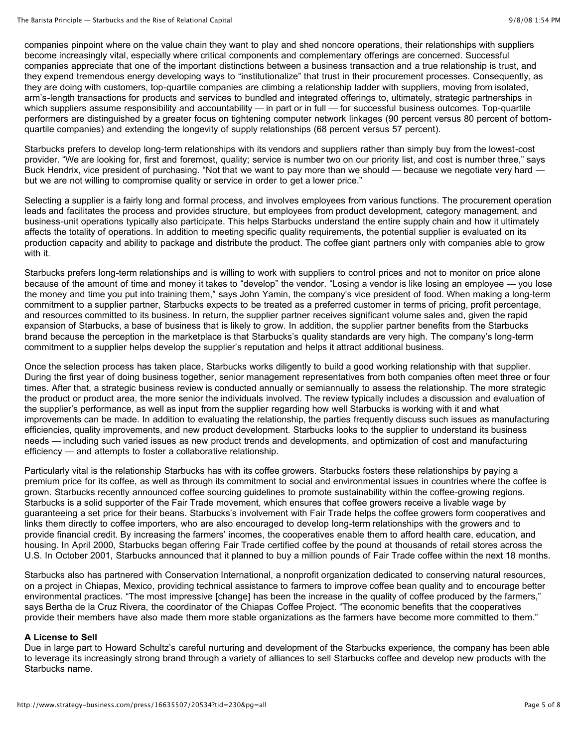companies pinpoint where on the value chain they want to play and shed noncore operations, their relationships with suppliers become increasingly vital, especially where critical components and complementary offerings are concerned. Successful companies appreciate that one of the important distinctions between a business transaction and a true relationship is trust, and they expend tremendous energy developing ways to "institutionalize" that trust in their procurement processes. Consequently, as they are doing with customers, top-quartile companies are climbing a relationship ladder with suppliers, moving from isolated, arm's-length transactions for products and services to bundled and integrated offerings to, ultimately, strategic partnerships in which suppliers assume responsibility and accountability — in part or in full — for successful business outcomes. Top-quartile performers are distinguished by a greater focus on tightening computer network linkages (90 percent versus 80 percent of bottomquartile companies) and extending the longevity of supply relationships (68 percent versus 57 percent).

Starbucks prefers to develop long-term relationships with its vendors and suppliers rather than simply buy from the lowest-cost provider. "We are looking for, first and foremost, quality; service is number two on our priority list, and cost is number three," says Buck Hendrix, vice president of purchasing. "Not that we want to pay more than we should — because we negotiate very hard but we are not willing to compromise quality or service in order to get a lower price."

Selecting a supplier is a fairly long and formal process, and involves employees from various functions. The procurement operation leads and facilitates the process and provides structure, but employees from product development, category management, and business-unit operations typically also participate. This helps Starbucks understand the entire supply chain and how it ultimately affects the totality of operations. In addition to meeting specific quality requirements, the potential supplier is evaluated on its production capacity and ability to package and distribute the product. The coffee giant partners only with companies able to grow with it.

Starbucks prefers long-term relationships and is willing to work with suppliers to control prices and not to monitor on price alone because of the amount of time and money it takes to "develop" the vendor. "Losing a vendor is like losing an employee — you lose the money and time you put into training them," says John Yamin, the company's vice president of food. When making a long-term commitment to a supplier partner, Starbucks expects to be treated as a preferred customer in terms of pricing, profit percentage, and resources committed to its business. In return, the supplier partner receives significant volume sales and, given the rapid expansion of Starbucks, a base of business that is likely to grow. In addition, the supplier partner benefits from the Starbucks brand because the perception in the marketplace is that Starbucks's quality standards are very high. The company's long-term commitment to a supplier helps develop the supplier's reputation and helps it attract additional business.

Once the selection process has taken place, Starbucks works diligently to build a good working relationship with that supplier. During the first year of doing business together, senior management representatives from both companies often meet three or four times. After that, a strategic business review is conducted annually or semiannually to assess the relationship. The more strategic the product or product area, the more senior the individuals involved. The review typically includes a discussion and evaluation of the supplier's performance, as well as input from the supplier regarding how well Starbucks is working with it and what improvements can be made. In addition to evaluating the relationship, the parties frequently discuss such issues as manufacturing efficiencies, quality improvements, and new product development. Starbucks looks to the supplier to understand its business needs — including such varied issues as new product trends and developments, and optimization of cost and manufacturing efficiency — and attempts to foster a collaborative relationship.

Particularly vital is the relationship Starbucks has with its coffee growers. Starbucks fosters these relationships by paying a premium price for its coffee, as well as through its commitment to social and environmental issues in countries where the coffee is grown. Starbucks recently announced coffee sourcing guidelines to promote sustainability within the coffee-growing regions. Starbucks is a solid supporter of the Fair Trade movement, which ensures that coffee growers receive a livable wage by guaranteeing a set price for their beans. Starbucks's involvement with Fair Trade helps the coffee growers form cooperatives and links them directly to coffee importers, who are also encouraged to develop long-term relationships with the growers and to provide financial credit. By increasing the farmers' incomes, the cooperatives enable them to afford health care, education, and housing. In April 2000, Starbucks began offering Fair Trade certified coffee by the pound at thousands of retail stores across the U.S. In October 2001, Starbucks announced that it planned to buy a million pounds of Fair Trade coffee within the next 18 months.

Starbucks also has partnered with Conservation International, a nonprofit organization dedicated to conserving natural resources, on a project in Chiapas, Mexico, providing technical assistance to farmers to improve coffee bean quality and to encourage better environmental practices. "The most impressive [change] has been the increase in the quality of coffee produced by the farmers," says Bertha de la Cruz Rivera, the coordinator of the Chiapas Coffee Project. "The economic benefits that the cooperatives provide their members have also made them more stable organizations as the farmers have become more committed to them."

# **A License to Sell**

Due in large part to Howard Schultz's careful nurturing and development of the Starbucks experience, the company has been able to leverage its increasingly strong brand through a variety of alliances to sell Starbucks coffee and develop new products with the Starbucks name.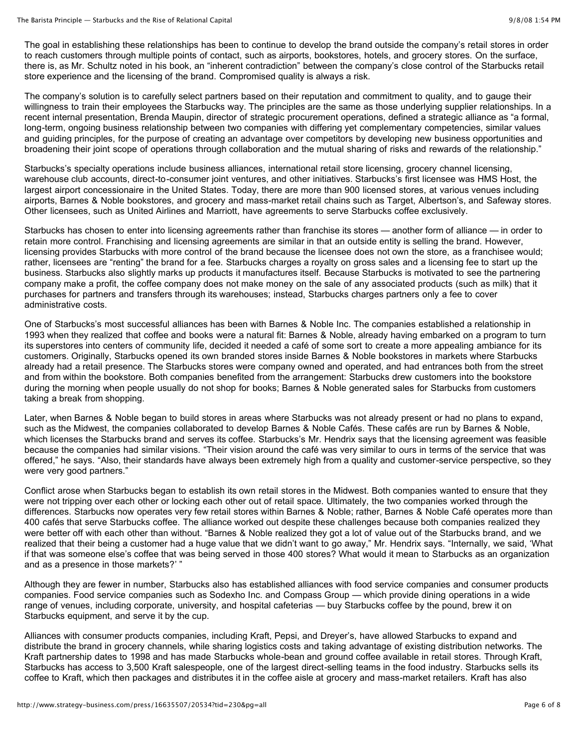The goal in establishing these relationships has been to continue to develop the brand outside the company's retail stores in order to reach customers through multiple points of contact, such as airports, bookstores, hotels, and grocery stores. On the surface, there is, as Mr. Schultz noted in his book, an "inherent contradiction" between the company's close control of the Starbucks retail store experience and the licensing of the brand. Compromised quality is always a risk.

The company's solution is to carefully select partners based on their reputation and commitment to quality, and to gauge their willingness to train their employees the Starbucks way. The principles are the same as those underlying supplier relationships. In a recent internal presentation, Brenda Maupin, director of strategic procurement operations, defined a strategic alliance as "a formal, long-term, ongoing business relationship between two companies with differing yet complementary competencies, similar values and guiding principles, for the purpose of creating an advantage over competitors by developing new business opportunities and broadening their joint scope of operations through collaboration and the mutual sharing of risks and rewards of the relationship."

Starbucks's specialty operations include business alliances, international retail store licensing, grocery channel licensing, warehouse club accounts, direct-to-consumer joint ventures, and other initiatives. Starbucks's first licensee was HMS Host, the largest airport concessionaire in the United States. Today, there are more than 900 licensed stores, at various venues including airports, Barnes & Noble bookstores, and grocery and mass-market retail chains such as Target, Albertson's, and Safeway stores. Other licensees, such as United Airlines and Marriott, have agreements to serve Starbucks coffee exclusively.

Starbucks has chosen to enter into licensing agreements rather than franchise its stores — another form of alliance — in order to retain more control. Franchising and licensing agreements are similar in that an outside entity is selling the brand. However, licensing provides Starbucks with more control of the brand because the licensee does not own the store, as a franchisee would; rather, licensees are "renting" the brand for a fee. Starbucks charges a royalty on gross sales and a licensing fee to start up the business. Starbucks also slightly marks up products it manufactures itself. Because Starbucks is motivated to see the partnering company make a profit, the coffee company does not make money on the sale of any associated products (such as milk) that it purchases for partners and transfers through its warehouses; instead, Starbucks charges partners only a fee to cover administrative costs.

One of Starbucks's most successful alliances has been with Barnes & Noble Inc. The companies established a relationship in 1993 when they realized that coffee and books were a natural fit: Barnes & Noble, already having embarked on a program to turn its superstores into centers of community life, decided it needed a café of some sort to create a more appealing ambiance for its customers. Originally, Starbucks opened its own branded stores inside Barnes & Noble bookstores in markets where Starbucks already had a retail presence. The Starbucks stores were company owned and operated, and had entrances both from the street and from within the bookstore. Both companies benefited from the arrangement: Starbucks drew customers into the bookstore during the morning when people usually do not shop for books; Barnes & Noble generated sales for Starbucks from customers taking a break from shopping.

Later, when Barnes & Noble began to build stores in areas where Starbucks was not already present or had no plans to expand, such as the Midwest, the companies collaborated to develop Barnes & Noble Cafés. These cafés are run by Barnes & Noble, which licenses the Starbucks brand and serves its coffee. Starbucks's Mr. Hendrix says that the licensing agreement was feasible because the companies had similar visions. "Their vision around the café was very similar to ours in terms of the service that was offered," he says. "Also, their standards have always been extremely high from a quality and customer-service perspective, so they were very good partners."

Conflict arose when Starbucks began to establish its own retail stores in the Midwest. Both companies wanted to ensure that they were not tripping over each other or locking each other out of retail space. Ultimately, the two companies worked through the differences. Starbucks now operates very few retail stores within Barnes & Noble; rather, Barnes & Noble Café operates more than 400 cafés that serve Starbucks coffee. The alliance worked out despite these challenges because both companies realized they were better off with each other than without. "Barnes & Noble realized they got a lot of value out of the Starbucks brand, and we realized that their being a customer had a huge value that we didn't want to go away," Mr. Hendrix says. "Internally, we said, 'What if that was someone else's coffee that was being served in those 400 stores? What would it mean to Starbucks as an organization and as a presence in those markets?' "

Although they are fewer in number, Starbucks also has established alliances with food service companies and consumer products companies. Food service companies such as Sodexho Inc. and Compass Group — which provide dining operations in a wide range of venues, including corporate, university, and hospital cafeterias — buy Starbucks coffee by the pound, brew it on Starbucks equipment, and serve it by the cup.

Alliances with consumer products companies, including Kraft, Pepsi, and Dreyer's, have allowed Starbucks to expand and distribute the brand in grocery channels, while sharing logistics costs and taking advantage of existing distribution networks. The Kraft partnership dates to 1998 and has made Starbucks whole-bean and ground coffee available in retail stores. Through Kraft, Starbucks has access to 3,500 Kraft salespeople, one of the largest direct-selling teams in the food industry. Starbucks sells its coffee to Kraft, which then packages and distributes it in the coffee aisle at grocery and mass-market retailers. Kraft has also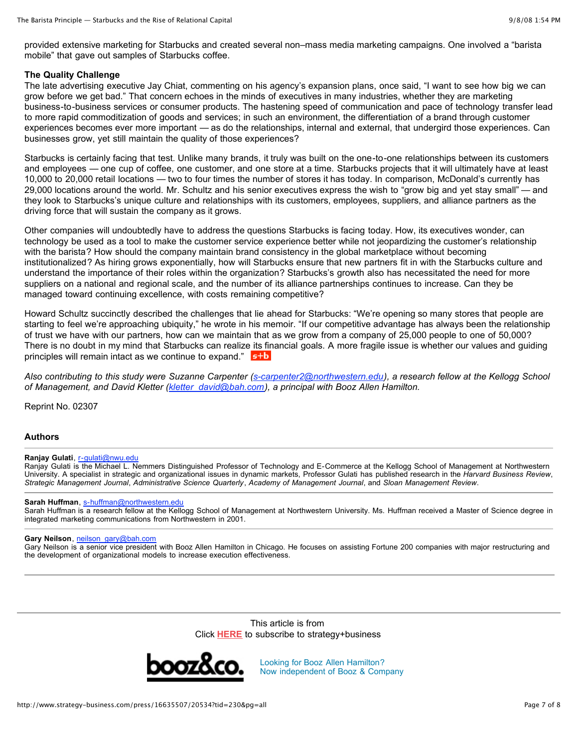provided extensive marketing for Starbucks and created several non–mass media marketing campaigns. One involved a "barista mobile" that gave out samples of Starbucks coffee.

# **The Quality Challenge**

The late advertising executive Jay Chiat, commenting on his agency's expansion plans, once said, "I want to see how big we can grow before we get bad." That concern echoes in the minds of executives in many industries, whether they are marketing business-to-business services or consumer products. The hastening speed of communication and pace of technology transfer lead to more rapid commoditization of goods and services; in such an environment, the differentiation of a brand through customer experiences becomes ever more important — as do the relationships, internal and external, that undergird those experiences. Can businesses grow, yet still maintain the quality of those experiences?

Starbucks is certainly facing that test. Unlike many brands, it truly was built on the one-to-one relationships between its customers and employees — one cup of coffee, one customer, and one store at a time. Starbucks projects that it will ultimately have at least 10,000 to 20,000 retail locations — two to four times the number of stores it has today. In comparison, McDonald's currently has 29,000 locations around the world. Mr. Schultz and his senior executives express the wish to "grow big and yet stay small" — and they look to Starbucks's unique culture and relationships with its customers, employees, suppliers, and alliance partners as the driving force that will sustain the company as it grows.

Other companies will undoubtedly have to address the questions Starbucks is facing today. How, its executives wonder, can technology be used as a tool to make the customer service experience better while not jeopardizing the customer's relationship with the barista? How should the company maintain brand consistency in the global marketplace without becoming institutionalized? As hiring grows exponentially, how will Starbucks ensure that new partners fit in with the Starbucks culture and understand the importance of their roles within the organization? Starbucks's growth also has necessitated the need for more suppliers on a national and regional scale, and the number of its alliance partnerships continues to increase. Can they be managed toward continuing excellence, with costs remaining competitive?

Howard Schultz succinctly described the challenges that lie ahead for Starbucks: "We're opening so many stores that people are starting to feel we're approaching ubiquity," he wrote in his memoir. "If our competitive advantage has always been the relationship of trust we have with our partners, how can we maintain that as we grow from a company of 25,000 people to one of 50,000? There is no doubt in my mind that Starbucks can realize its financial goals. A more fragile issue is whether our values and guiding principles will remain intact as we continue to expand." **5+b** 

Also contributing to this study were Suzanne Carpenter [\(s-carpenter2@northwestern.edu\)](mailto:s-carpenter2@northwestern.edu), a research fellow at the Kellogg School *of Management, and David Kletter ([kletter\\_david@bah.com](mailto:kletter_david@bah.com)), a principal with Booz Allen Hamilton.*

Reprint No. 02307

#### **Authors**

# **Ranjay Gulati**, [r-gulati@nwu.edu](mailto:r-gulati@nwu.edu)

Ranjay Gulati is the Michael L. Nemmers Distinguished Professor of Technology and E-Commerce at the Kellogg School of Management at Northwestern University. A specialist in strategic and organizational issues in dynamic markets, Professor Gulati has published research in the *Harvard Business Review*, *Strategic Management Journal*, *Administrative Science Quarterly*, *Academy of Management Journal*, and *Sloan Management Review*.

# **Sarah Huffman**, [s-huffman@northwestern.edu](mailto:s-huffman@northwestern.edu)

Sarah Huffman is a research fellow at the Kellogg School of Management at Northwestern University. Ms. Huffman received a Master of Science degree in integrated marketing communications from Northwestern in 2001.

#### **Gary Neilson**, [neilson\\_gary@bah.com](mailto:neilson_gary@bah.com)

Gary Neilson is a senior vice president with Booz Allen Hamilton in Chicago. He focuses on assisting Fortune 200 companies with major restructuring and the development of organizational models to increase execution effectiveness.

> This article is from Click **[HERE](http://www.strategy-business.com/subscriber/)** to subscribe to strategy+business



Looking for Booz Allen Hamilton? Now [independent](http://www.boozallen.com/) of Booz & Company